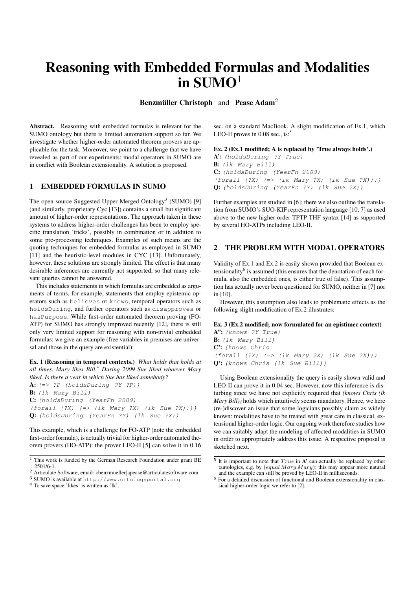# Reasoning with Embedded Formulas and Modalities in  $SUMO<sup>1</sup>$

Benzmüller Christoph and Pease Adam<sup>2</sup>

Abstract. Reasoning with embedded formulas is relevant for the SUMO ontology but there is limited automation support so far. We investigate whether higher-order automated theorem provers are applicable for the task. Moreover, we point to a challenge that we have revealed as part of our experiments: modal operators in SUMO are in conflict with Boolean extensionality. A solution is proposed.

## 1 EMBEDDED FORMULAS IN SUMO

The open source Suggested Upper Merged Ontology<sup>3</sup> (SUMO) [9] (and similarly, proprietary Cyc [13]) contains a small but significant amount of higher-order representations. The approach taken in these systems to address higher-order challenges has been to employ specific translation 'tricks', possibly in combination or in addition to some pre-processing techniques. Examples of such means are the quoting techniques for embedded formulas as employed in SUMO [11] and the heuristic-level modules in CYC [13]. Unfortunately, however, these solutions are strongly limited. The effect is that many desirable inferences are currently not supported, so that many relevant queries cannot be answered.

This includes statements in which formulas are embedded as arguments of terms, for example, statements that employ epistemic operators such as believes or knows, temporal operators such as holdsDuring, and further operators such as disapproves or hasPurpose. While first-order automated theorem proving (FO-ATP) for SUMO has strongly improved recently [12], there is still only very limited support for reasoning with non-trivial embedded formulas; we give an example (free variables in premises are universal and those in the query are existential):

Ex. 1 (Reasoning in temporal contexts.) *What holds that holds at all times. Mary likes Bill.*<sup>4</sup> *During 2009 Sue liked whoever Mary liked. Is there a year in which Sue has liked somebody?*

 $A: (=> ?P (holdsDuring ?Y ?P))$ B: (lk Mary Bill) C: (holdsDuring (YearFn 2009) (forall (?X) (=> (lk Mary ?X) (lk Sue ?X)))) Q: (holdsDuring (YearFn ?Y) (lk Sue ?X))

This example, which is a challenge for FO-ATP (note the embedded first-order formula), is actually trivial for higher-order automated theorem provers (HO-ATP): the prover LEO-II [5] can solve it in 0.16

sec. on a standard MacBook. A slight modification of Ex.1, which LEO-II proves in 0.08 sec., is: $5$ 

## Ex. 2 (Ex.1 modified; A is replaced by 'True always holds'.)

A': (holdsDuring ?Y True) B: (lk Mary Bill) C: (holdsDuring (YearFn 2009) (forall (?X) (=> (lk Mary ?X) (lk Sue ?X)))) Q: (holdsDuring (YearFn ?Y) (lk Sue ?X))

Further examples are studied in [6]; there we also outline the translation from SUMO's SUO-KIF representation language [10, 7] as used above to the new higher-order TPTP THF syntax [14] as supported by several HO-ATPs including LEO-II.

## 2 THE PROBLEM WITH MODAL OPERATORS

Validity of Ex.1 and Ex.2 is easily shown provided that Boolean extensionality<sup>6</sup> is assumed (this ensures that the denotation of each formula, also the embedded ones, is either true of false). This assumption has actually never been questioned for SUMO, neither in [7] nor in [10].

However, this assumption also leads to problematic effects as the following slight modification of Ex.2 illustrates:

#### Ex. 3 (Ex.2 modified; now formulated for an epistimec context)

A": (knows ?Y True) B: (lk Mary Bill) C': (knows Chris  $(foral1 (?X) (= > (lk Mary ?X) (lk Sue ?X)))$ Q': (knows Chris (lk Sue Bill))

Using Boolean extensionality the query is easily shown valid and LEO-II can prove it in 0.04 sec. However, now this inference is disturbing since we have not explicitly required that *(knows Chris (lk Mary Bill))* holds which intuitively seems mandatory. Hence, we here (re-)discover an issue that some logicians possibly claim as widely known: modalities have to be treated with great care in classical, extensional higher-order logic. Our ongoing work therefore studies how we can suitably adapt the modeling of affected modalities in SUMO in order to appropriately address this issue. A respective proposal is sketched next.

 $\frac{1}{1}$  This work is funded by the German Research Foundation under grant BE 2501/6-1.

<sup>2</sup> Articulate Software, email: cbenzmueller|apease@articulatesoftware.com

<sup>3</sup> SUMO is available at http://www.ontologyportal.org

<sup>4</sup> To save space 'likes' is written as 'lk'.

 $5$  It is important to note that  $True$  in  $A'$  can actually be replaced by other tautologies, e.g. by  $\text{(\textit{equal Mary Mary})}$ ; this may appear more natural and the example can still be proved by LEO-II in milliseconds.

<sup>6</sup> For a detailed discussion of functional and Boolean extensionality in classical higher-order logic we refer to [2].